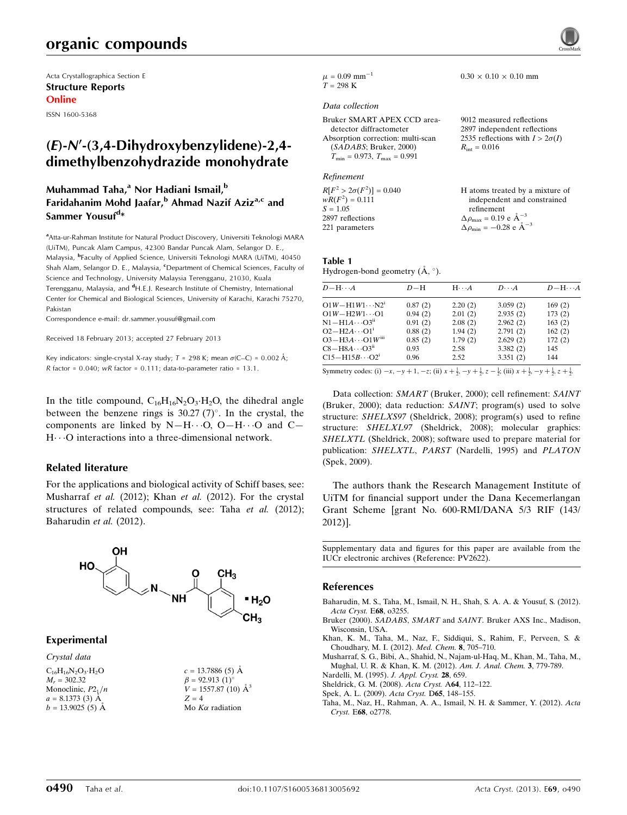# organic compounds

Acta Crystallographica Section E Structure Reports Online

ISSN 1600-5368

## $(E)-N'$ -(3,4-Dihydroxybenzylidene)-2,4dimethylbenzohydrazide monohydrate

### Muhammad Taha,<sup>a</sup> Nor Hadiani Ismail,<sup>b</sup> Faridahanim Mohd Jaafar, $b$  Ahmad Nazif Aziz<sup>a,c</sup> and Sammer Yousuf<sup>d</sup>\*

<sup>a</sup> Atta-ur-Rahman Institute for Natural Product Discovery, Universiti Teknologi MARA (UiTM), Puncak Alam Campus, 42300 Bandar Puncak Alam, Selangor D. E., Malaysia, <sup>b</sup>Faculty of Applied Science, Universiti Teknologi MARA (UiTM), 40450 Shah Alam, Selangor D. E., Malaysia, <sup>c</sup>Department of Chemical Sciences, Faculty of Science and Technology, University Malaysia Terengganu, 21030, Kuala Terengganu, Malaysia, and <sup>d</sup>H.E.J. Research Institute of Chemistry, International Center for Chemical and Biological Sciences, University of Karachi, Karachi 75270, Pakistan

Correspondence e-mail: [dr.sammer.yousuf@gmail.com](https://scripts.iucr.org/cgi-bin/cr.cgi?rm=pdfbb&cnor=pv2622&bbid=BB8)

Received 18 February 2013; accepted 27 February 2013

Key indicators: single-crystal X-ray study;  $T = 298$  K; mean  $\sigma$ (C–C) = 0.002 Å;  $R$  factor = 0.040; wR factor = 0.111; data-to-parameter ratio = 13.1.

In the title compound,  $C_{16}H_{16}N_2O_3 \cdot H_2O$ , the dihedral angle between the benzene rings is 30.27  $(7)^\circ$ . In the crystal, the components are linked by  $N-H\cdots O$ ,  $O-H\cdots O$  and  $C-$ H---O interactions into a three-dimensional network.

### Related literature

For the applications and biological activity of Schiff bases, see: Musharraf et al. (2012); Khan et al. (2012). For the crystal structures of related compounds, see: Taha et al. (2012); Baharudin et al. (2012).



### Experimental

Crystal data

 $C_{16}H_{16}N_2O_3 \cdot H_2O$  $M = 302.32$ Monoclinic,  $P2_1/n$  $a = 8.1373(3)$  Å  $b = 13.9025(5)$  Å

 $c = 13.7886(5)$  Å  $\beta = 92.913(1)$ °  $V = 1557.87$  (10)  $\AA^3$  $Z = 4$ Mo  $K\alpha$  radiation



#### $0.30 \times 0.10 \times 0.10$  mm

 $\mu$  = 0.09 mm<sup>-1</sup>  $T = 298 \text{ K}$ 

#### Data collection

Bruker SMART APEX CCD areadetector diffractometer Absorption correction: multi-scan (SADABS; Bruker, 2000)  $T_{\min} = 0.973, T_{\max} = 0.991$ 9012 measured reflections 2897 independent reflections 2535 reflections with  $I > 2\sigma(I)$  $R_{\rm int} = 0.016$ 

#### Refinement

| $R[F^2 > 2\sigma(F^2)] = 0.040$ | H atoms treated by a mixture of                    |
|---------------------------------|----------------------------------------------------|
| $wR(F^2) = 0.111$               | independent and constrained                        |
| $S = 1.05$                      | refinement                                         |
| 2897 reflections                | $\Delta \rho_{\text{max}} = 0.19 \text{ e A}^{-3}$ |
| 221 parameters                  | $\Delta \rho_{\rm min} = -0.28$ e $\rm \AA^{-3}$   |

Table 1

Hydrogen-bond geometry  $(\mathring{A}, \degree)$ .

| $D - H \cdots A$                                                                                                                                                                                                                                                                                                                 | $D-H$   | $H \cdot \cdot \cdot A$ | $D\cdot\cdot\cdot A$ | $D - H \cdots A$ |
|----------------------------------------------------------------------------------------------------------------------------------------------------------------------------------------------------------------------------------------------------------------------------------------------------------------------------------|---------|-------------------------|----------------------|------------------|
| $O1W - H1W1 \cdots N2^i$                                                                                                                                                                                                                                                                                                         | 0.87(2) | 2.20(2)                 | 3.059(2)             | 169(2)           |
| $O1W - H2W1 \cdots O1$                                                                                                                                                                                                                                                                                                           | 0.94(2) | 2.01(2)                 | 2.935(2)             | 173(2)           |
| $N1 - H1A \cdots O3^n$                                                                                                                                                                                                                                                                                                           | 0.91(2) | 2.08(2)                 | 2.962(2)             | 163(2)           |
| $O2 - H2A \cdots O1^i$                                                                                                                                                                                                                                                                                                           | 0.88(2) | 1.94(2)                 | 2.791(2)             | 162(2)           |
| $O3 - H3A \cdots O1W$ <sup>iii</sup>                                                                                                                                                                                                                                                                                             | 0.85(2) | 1.79(2)                 | 2.629(2)             | 172(2)           |
| $C8 - H8A \cdots O3$ <sup>ii</sup>                                                                                                                                                                                                                                                                                               | 0.93    | 2.58                    | 3.382(2)             | 145              |
| $C15 - H15B \cdots O2^1$                                                                                                                                                                                                                                                                                                         | 0.96    | 2.52                    | 3.351(2)             | 144              |
| $\alpha$ and $\alpha$ and $\alpha$ and $\alpha$ and $\alpha$ and $\alpha$ and $\alpha$ and $\alpha$ and $\alpha$ and $\alpha$ and $\alpha$ and $\alpha$ and $\alpha$ and $\alpha$ and $\alpha$ and $\alpha$ and $\alpha$ and $\alpha$ and $\alpha$ and $\alpha$ and $\alpha$ and $\alpha$ and $\alpha$ and $\alpha$ and $\alpha$ |         |                         |                      |                  |

Symmetry codes: (i)  $-x$ ,  $-y + 1$ ,  $-z$ ; (ii)  $x + \frac{1}{2}$ ,  $-y + \frac{1}{2}$ ,  $z - \frac{1}{2}$ ; (iii)  $x + \frac{1}{2}$ ,  $-y + \frac{1}{2}$ ,  $z + \frac{1}{2}$ .

Data collection: SMART (Bruker, 2000); cell refinement: SAINT (Bruker, 2000); data reduction: SAINT; program(s) used to solve structure: SHELXS97 (Sheldrick, 2008); program(s) used to refine structure: SHELXL97 (Sheldrick, 2008); molecular graphics: SHELXTL (Sheldrick, 2008); software used to prepare material for publication: SHELXTL, PARST (Nardelli, 1995) and PLATON (Spek, 2009).

The authors thank the Research Management Institute of UiTM for financial support under the Dana Kecemerlangan Grant Scheme [grant No. 600-RMI/DANA 5/3 RIF (143/ 2012)].

Supplementary data and figures for this paper are available from the IUCr electronic archives (Reference: PV2622).

#### References

- [Baharudin, M. S., Taha, M., Ismail, N. H., Shah, S. A. A. & Yousuf, S. \(2012\).](https://scripts.iucr.org/cgi-bin/cr.cgi?rm=pdfbb&cnor=pv2622&bbid=BB1) [Acta Cryst.](https://scripts.iucr.org/cgi-bin/cr.cgi?rm=pdfbb&cnor=pv2622&bbid=BB1) E68, o3255.
- Bruker (2000). SADABS, SMART and SAINT[. Bruker AXS Inc., Madison,](https://scripts.iucr.org/cgi-bin/cr.cgi?rm=pdfbb&cnor=pv2622&bbid=BB2) [Wisconsin, USA.](https://scripts.iucr.org/cgi-bin/cr.cgi?rm=pdfbb&cnor=pv2622&bbid=BB2)
- [Khan, K. M., Taha, M., Naz, F., Siddiqui, S., Rahim, F., Perveen, S. &](https://scripts.iucr.org/cgi-bin/cr.cgi?rm=pdfbb&cnor=pv2622&bbid=BB3) [Choudhary, M. I. \(2012\).](https://scripts.iucr.org/cgi-bin/cr.cgi?rm=pdfbb&cnor=pv2622&bbid=BB3) Med. Chem. 8, 705–710.

[Musharraf, S. G., Bibi, A., Shahid, N., Najam-ul-Haq, M., Khan, M., Taha, M.,](https://scripts.iucr.org/cgi-bin/cr.cgi?rm=pdfbb&cnor=pv2622&bbid=BB4) [Mughal, U. R. & Khan, K. M. \(2012\).](https://scripts.iucr.org/cgi-bin/cr.cgi?rm=pdfbb&cnor=pv2622&bbid=BB4) Am. J. Anal. Chem. 3, 779-789.

- [Nardelli, M. \(1995\).](https://scripts.iucr.org/cgi-bin/cr.cgi?rm=pdfbb&cnor=pv2622&bbid=BB5) J. Appl. Cryst. 28, 659.
- [Sheldrick, G. M. \(2008\).](https://scripts.iucr.org/cgi-bin/cr.cgi?rm=pdfbb&cnor=pv2622&bbid=BB6) Acta Cryst. A64, 112–122.
- [Spek, A. L. \(2009\).](https://scripts.iucr.org/cgi-bin/cr.cgi?rm=pdfbb&cnor=pv2622&bbid=BB7) Acta Cryst. D65, 148–155.
- [Taha, M., Naz, H., Rahman, A. A., Ismail, N. H. & Sammer, Y. \(2012\).](https://scripts.iucr.org/cgi-bin/cr.cgi?rm=pdfbb&cnor=pv2622&bbid=BB8) Acta Cryst. E68[, o2778.](https://scripts.iucr.org/cgi-bin/cr.cgi?rm=pdfbb&cnor=pv2622&bbid=BB8)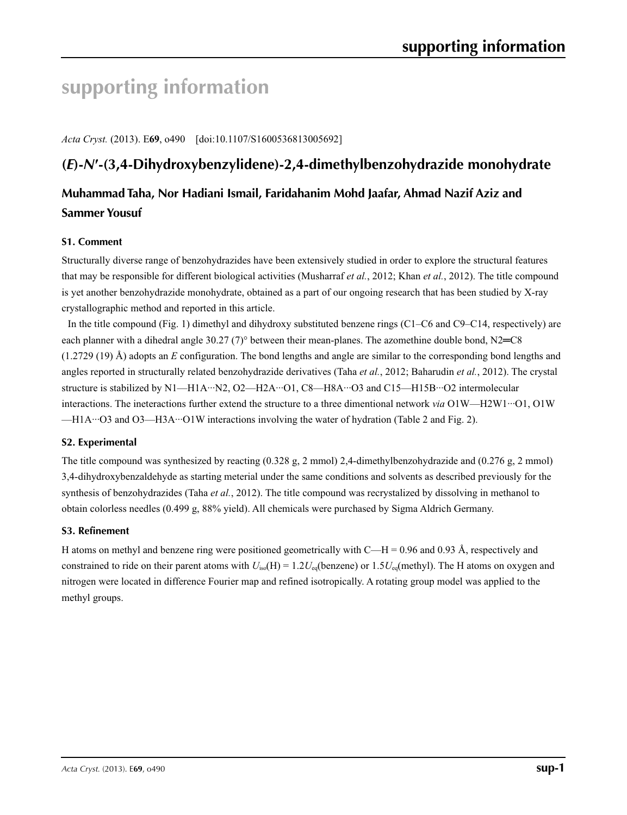# **supporting information**

*Acta Cryst.* (2013). E**69**, o490 [doi:10.1107/S1600536813005692]

# **(***E***)-***N***′-(3,4-Dihydroxybenzylidene)-2,4-dimethylbenzohydrazide monohydrate**

## **Muhammad Taha, Nor Hadiani Ismail, Faridahanim Mohd Jaafar, Ahmad Nazif Aziz and Sammer Yousuf**

### **S1. Comment**

Structurally diverse range of benzohydrazides have been extensively studied in order to explore the structural features that may be responsible for different biological activities (Musharraf *et al.*, 2012; Khan *et al.*, 2012). The title compound is yet another benzohydrazide monohydrate, obtained as a part of our ongoing research that has been studied by X-ray crystallographic method and reported in this article.

In the title compound (Fig. 1) dimethyl and dihydroxy substituted benzene rings (C1–C6 and C9–C14, respectively) are each planner with a dihedral angle 30.27 (7)° between their mean-planes. The azomethine double bond, N2= $C8$ (1.2729 (19) Å) adopts an *E* configuration. The bond lengths and angle are similar to the corresponding bond lengths and angles reported in structurally related benzohydrazide derivatives (Taha *et al.*, 2012; Baharudin *et al.*, 2012). The crystal structure is stabilized by N1—H1A···N2, O2—H2A···O1, C8—H8A···O3 and C15—H15B···O2 intermolecular interactions. The ineteractions further extend the structure to a three dimentional network *via* O1W—H2W1···O1, O1W —H1A···O3 and O3—H3A···O1W interactions involving the water of hydration (Table 2 and Fig. 2).

### **S2. Experimental**

The title compound was synthesized by reacting (0.328 g, 2 mmol) 2,4-dimethylbenzohydrazide and (0.276 g, 2 mmol) 3,4-dihydroxybenzaldehyde as starting meterial under the same conditions and solvents as described previously for the synthesis of benzohydrazides (Taha *et al.*, 2012). The title compound was recrystalized by dissolving in methanol to obtain colorless needles (0.499 g, 88% yield). All chemicals were purchased by Sigma Aldrich Germany.

### **S3. Refinement**

H atoms on methyl and benzene ring were positioned geometrically with  $C-H = 0.96$  and 0.93 Å, respectively and constrained to ride on their parent atoms with  $U_{iso}(H) = 1.2U_{eq}(benzene)$  or  $1.5U_{eq}(methyl)$ . The H atoms on oxygen and nitrogen were located in difference Fourier map and refined isotropically. A rotating group model was applied to the methyl groups.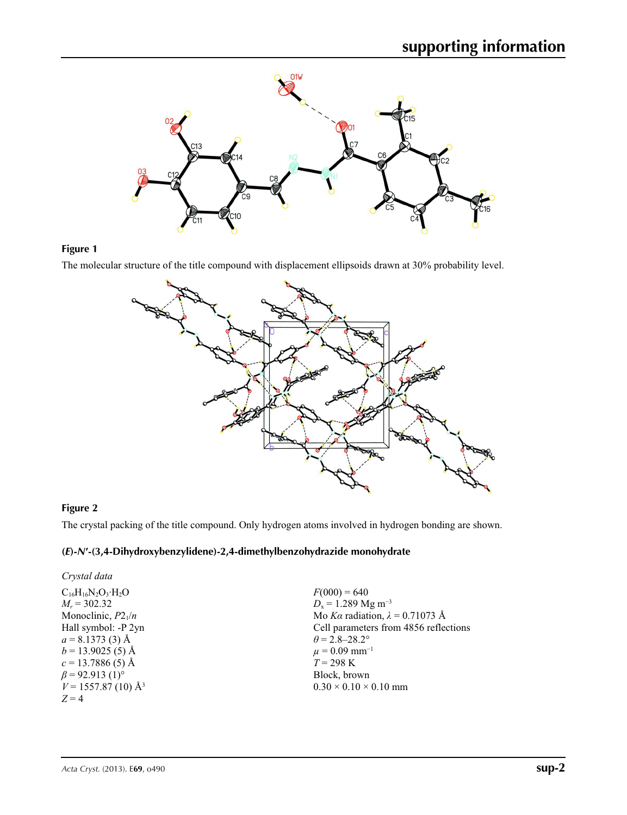

### **Figure 1**

The molecular structure of the title compound with displacement ellipsoids drawn at 30% probability level.



### **Figure 2**

The crystal packing of the title compound. Only hydrogen atoms involved in hydrogen bonding are shown.

### **(***E***)-***N***′-(3,4-Dihydroxybenzylidene)-2,4-dimethylbenzohydrazide monohydrate**

| Crystal data                      |                                        |
|-----------------------------------|----------------------------------------|
| $C_{16}H_{16}N_2O_3 \cdot H_2O$   | $F(000) = 640$                         |
| $M_r = 302.32$                    | $D_x = 1.289$ Mg m <sup>-3</sup>       |
| Monoclinic, $P2_1/n$              | Mo Ka radiation, $\lambda = 0.71073$ Å |
| Hall symbol: -P 2yn               | Cell parameters from 4856 reflections  |
| $a = 8.1373(3)$ Å                 | $\theta$ = 2.8–28.2°                   |
| $b = 13.9025(5)$ Å                | $\mu = 0.09$ mm <sup>-1</sup>          |
| $c = 13.7886(5)$ Å                | $T = 298 \text{ K}$                    |
| $\beta$ = 92.913 (1) <sup>o</sup> | Block, brown                           |
| $V = 1557.87(10)$ Å <sup>3</sup>  | $0.30 \times 0.10 \times 0.10$ mm      |
| $Z=4$                             |                                        |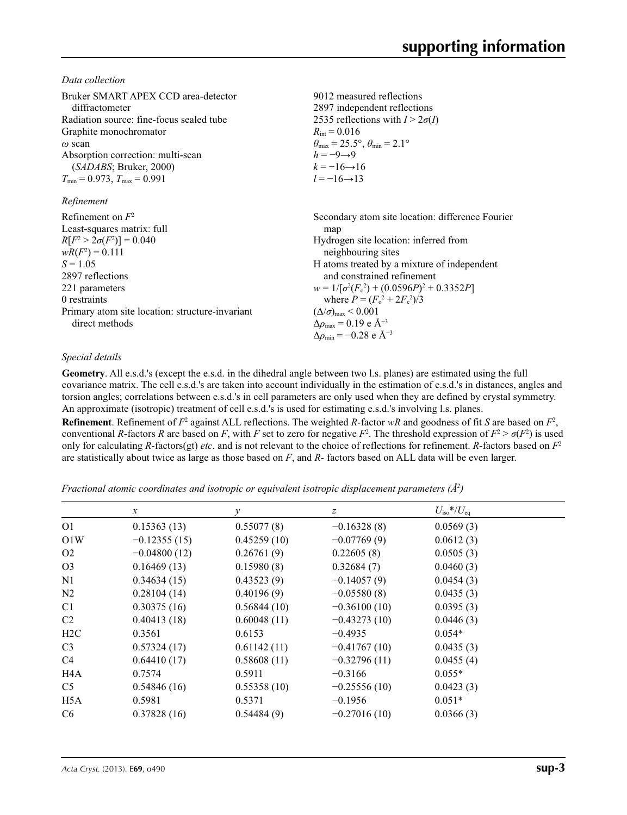*Data collection*

| Bruker SMART APEX CCD area-detector<br>diffractometer<br>Radiation source: fine-focus sealed tube<br>Graphite monochromator<br>$\omega$ scan<br>Absorption correction: multi-scan<br>(SADABS; Bruker, 2000)<br>$T_{\min}$ = 0.973, $T_{\max}$ = 0.991 | 9012 measured reflections<br>2897 independent reflections<br>2535 reflections with $I > 2\sigma(I)$<br>$R_{\text{int}} = 0.016$<br>$\theta_{\text{max}} = 25.5^{\circ}, \theta_{\text{min}} = 2.1^{\circ}$<br>$h = -9 \rightarrow 9$<br>$k = -16 \rightarrow 16$<br>$l = -16 \rightarrow 13$                                                                                                                                                   |
|-------------------------------------------------------------------------------------------------------------------------------------------------------------------------------------------------------------------------------------------------------|------------------------------------------------------------------------------------------------------------------------------------------------------------------------------------------------------------------------------------------------------------------------------------------------------------------------------------------------------------------------------------------------------------------------------------------------|
| Refinement                                                                                                                                                                                                                                            |                                                                                                                                                                                                                                                                                                                                                                                                                                                |
| Refinement on $F^2$<br>Least-squares matrix: full<br>$R[F^2 > 2\sigma(F^2)] = 0.040$<br>$wR(F^2) = 0.111$<br>$S = 1.05$<br>2897 reflections<br>221 parameters<br>0 restraints<br>Primary atom site location: structure-invariant<br>direct methods    | Secondary atom site location: difference Fourier<br>map<br>Hydrogen site location: inferred from<br>neighbouring sites<br>H atoms treated by a mixture of independent<br>and constrained refinement<br>$w = 1/[\sigma^2(F_0^2) + (0.0596P)^2 + 0.3352P]$<br>where $P = (F_0^2 + 2F_c^2)/3$<br>$(\Delta/\sigma)_{\text{max}}$ < 0.001<br>$\Delta\rho_{\text{max}} = 0.19$ e Å <sup>-3</sup><br>$\Delta\rho_{\rm min} = -0.28$ e Å <sup>-3</sup> |

### *Special details*

**Geometry**. All e.s.d.'s (except the e.s.d. in the dihedral angle between two l.s. planes) are estimated using the full covariance matrix. The cell e.s.d.'s are taken into account individually in the estimation of e.s.d.'s in distances, angles and torsion angles; correlations between e.s.d.'s in cell parameters are only used when they are defined by crystal symmetry. An approximate (isotropic) treatment of cell e.s.d.'s is used for estimating e.s.d.'s involving l.s. planes.

**Refinement**. Refinement of  $F^2$  against ALL reflections. The weighted *R*-factor  $wR$  and goodness of fit *S* are based on  $F^2$ , conventional *R*-factors *R* are based on *F*, with *F* set to zero for negative  $F^2$ . The threshold expression of  $F^2 > \sigma(F^2)$  is used only for calculating *R*-factors(gt) *etc*. and is not relevant to the choice of reflections for refinement. *R*-factors based on *F*<sup>2</sup> are statistically about twice as large as those based on *F*, and *R*- factors based on ALL data will be even larger.

*Fractional atomic coordinates and isotropic or equivalent isotropic displacement parameters (Å2 )*

|                  | $\mathcal{X}$  | $\mathcal V$ | $\boldsymbol{Z}$ | $U_{\rm iso}*/U_{\rm eq}$ |  |
|------------------|----------------|--------------|------------------|---------------------------|--|
| O <sub>1</sub>   | 0.15363(13)    | 0.55077(8)   | $-0.16328(8)$    | 0.0569(3)                 |  |
| O1W              | $-0.12355(15)$ | 0.45259(10)  | $-0.07769(9)$    | 0.0612(3)                 |  |
| O <sub>2</sub>   | $-0.04800(12)$ | 0.26761(9)   | 0.22605(8)       | 0.0505(3)                 |  |
| O <sub>3</sub>   | 0.16469(13)    | 0.15980(8)   | 0.32684(7)       | 0.0460(3)                 |  |
| N <sub>1</sub>   | 0.34634(15)    | 0.43523(9)   | $-0.14057(9)$    | 0.0454(3)                 |  |
| N <sub>2</sub>   | 0.28104(14)    | 0.40196(9)   | $-0.05580(8)$    | 0.0435(3)                 |  |
| C <sub>1</sub>   | 0.30375(16)    | 0.56844(10)  | $-0.36100(10)$   | 0.0395(3)                 |  |
| C <sub>2</sub>   | 0.40413(18)    | 0.60048(11)  | $-0.43273(10)$   | 0.0446(3)                 |  |
| H <sub>2</sub> C | 0.3561         | 0.6153       | $-0.4935$        | $0.054*$                  |  |
| C <sub>3</sub>   | 0.57324(17)    | 0.61142(11)  | $-0.41767(10)$   | 0.0435(3)                 |  |
| C <sub>4</sub>   | 0.64410(17)    | 0.58608(11)  | $-0.32796(11)$   | 0.0455(4)                 |  |
| H <sub>4</sub> A | 0.7574         | 0.5911       | $-0.3166$        | $0.055*$                  |  |
| C <sub>5</sub>   | 0.54846(16)    | 0.55358(10)  | $-0.25556(10)$   | 0.0423(3)                 |  |
| H <sub>5</sub> A | 0.5981         | 0.5371       | $-0.1956$        | $0.051*$                  |  |
| C <sub>6</sub>   | 0.37828(16)    | 0.54484(9)   | $-0.27016(10)$   | 0.0366(3)                 |  |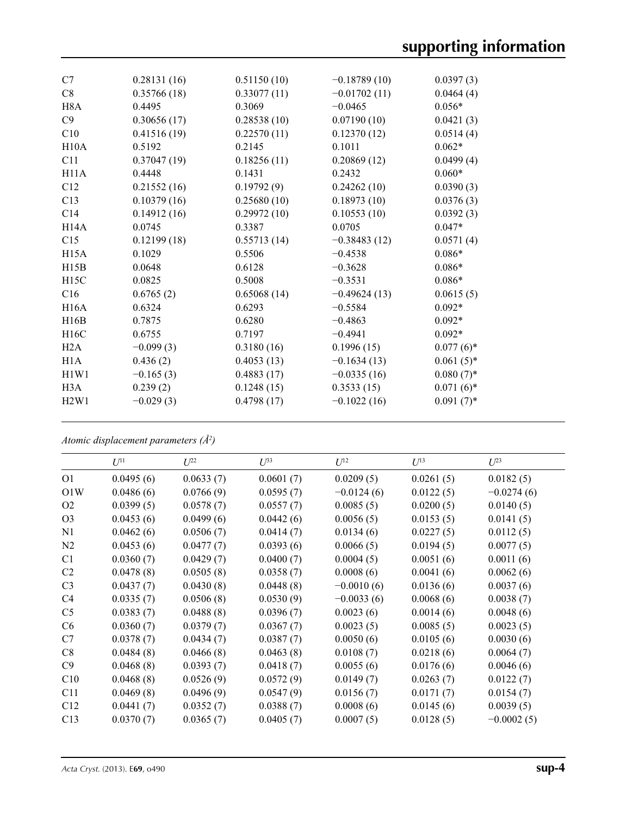| C <sub>7</sub>    | 0.28131(16) | 0.51150(10) | $-0.18789(10)$ | 0.0397(3)    |
|-------------------|-------------|-------------|----------------|--------------|
| C8                | 0.35766(18) | 0.33077(11) | $-0.01702(11)$ | 0.0464(4)    |
| H <sub>8</sub> A  | 0.4495      | 0.3069      | $-0.0465$      | $0.056*$     |
| C9                | 0.30656(17) | 0.28538(10) | 0.07190(10)    | 0.0421(3)    |
| C10               | 0.41516(19) | 0.22570(11) | 0.12370(12)    | 0.0514(4)    |
| H10A              | 0.5192      | 0.2145      | 0.1011         | $0.062*$     |
| C11               | 0.37047(19) | 0.18256(11) | 0.20869(12)    | 0.0499(4)    |
| H11A              | 0.4448      | 0.1431      | 0.2432         | $0.060*$     |
| C12               | 0.21552(16) | 0.19792(9)  | 0.24262(10)    | 0.0390(3)    |
| C13               | 0.10379(16) | 0.25680(10) | 0.18973(10)    | 0.0376(3)    |
| C14               | 0.14912(16) | 0.29972(10) | 0.10553(10)    | 0.0392(3)    |
| H14A              | 0.0745      | 0.3387      | 0.0705         | $0.047*$     |
| C15               | 0.12199(18) | 0.55713(14) | $-0.38483(12)$ | 0.0571(4)    |
| H15A              | 0.1029      | 0.5506      | $-0.4538$      | $0.086*$     |
| H15B              | 0.0648      | 0.6128      | $-0.3628$      | $0.086*$     |
| H <sub>15</sub> C | 0.0825      | 0.5008      | $-0.3531$      | $0.086*$     |
| C16               | 0.6765(2)   | 0.65068(14) | $-0.49624(13)$ | 0.0615(5)    |
| H16A              | 0.6324      | 0.6293      | $-0.5584$      | $0.092*$     |
| H16B              | 0.7875      | 0.6280      | $-0.4863$      | $0.092*$     |
| H16C              | 0.6755      | 0.7197      | $-0.4941$      | $0.092*$     |
| H2A               | $-0.099(3)$ | 0.3180(16)  | 0.1996(15)     | $0.077(6)$ * |
| H1A               | 0.436(2)    | 0.4053(13)  | $-0.1634(13)$  | $0.061(5)$ * |
| H1W1              | $-0.165(3)$ | 0.4883(17)  | $-0.0335(16)$  | $0.080(7)$ * |
| H3A               | 0.239(2)    | 0.1248(15)  | 0.3533(15)     | $0.071(6)$ * |
| H2W1              | $-0.029(3)$ | 0.4798(17)  | $-0.1022(16)$  | $0.091(7)$ * |
|                   |             |             |                |              |

*Atomic displacement parameters (Å2 )*

|                 | $U^{11}$  | $U^{22}$  | $U^{33}$  | $U^{12}$     | $U^{13}$  | $U^{23}$     |
|-----------------|-----------|-----------|-----------|--------------|-----------|--------------|
| O <sub>1</sub>  | 0.0495(6) | 0.0633(7) | 0.0601(7) | 0.0209(5)    | 0.0261(5) | 0.0182(5)    |
| O1W             | 0.0486(6) | 0.0766(9) | 0.0595(7) | $-0.0124(6)$ | 0.0122(5) | $-0.0274(6)$ |
| O <sub>2</sub>  | 0.0399(5) | 0.0578(7) | 0.0557(7) | 0.0085(5)    | 0.0200(5) | 0.0140(5)    |
| O <sub>3</sub>  | 0.0453(6) | 0.0499(6) | 0.0442(6) | 0.0056(5)    | 0.0153(5) | 0.0141(5)    |
| N1              | 0.0462(6) | 0.0506(7) | 0.0414(7) | 0.0134(6)    | 0.0227(5) | 0.0112(5)    |
| N2              | 0.0453(6) | 0.0477(7) | 0.0393(6) | 0.0066(5)    | 0.0194(5) | 0.0077(5)    |
| C <sub>1</sub>  | 0.0360(7) | 0.0429(7) | 0.0400(7) | 0.0004(5)    | 0.0051(6) | 0.0011(6)    |
| C <sub>2</sub>  | 0.0478(8) | 0.0505(8) | 0.0358(7) | 0.0008(6)    | 0.0041(6) | 0.0062(6)    |
| C <sub>3</sub>  | 0.0437(7) | 0.0430(8) | 0.0448(8) | $-0.0010(6)$ | 0.0136(6) | 0.0037(6)    |
| C4              | 0.0335(7) | 0.0506(8) | 0.0530(9) | $-0.0033(6)$ | 0.0068(6) | 0.0038(7)    |
| C <sub>5</sub>  | 0.0383(7) | 0.0488(8) | 0.0396(7) | 0.0023(6)    | 0.0014(6) | 0.0048(6)    |
| C <sub>6</sub>  | 0.0360(7) | 0.0379(7) | 0.0367(7) | 0.0023(5)    | 0.0085(5) | 0.0023(5)    |
| C7              | 0.0378(7) | 0.0434(7) | 0.0387(7) | 0.0050(6)    | 0.0105(6) | 0.0030(6)    |
| C8              | 0.0484(8) | 0.0466(8) | 0.0463(8) | 0.0108(7)    | 0.0218(6) | 0.0064(7)    |
| C9              | 0.0468(8) | 0.0393(7) | 0.0418(7) | 0.0055(6)    | 0.0176(6) | 0.0046(6)    |
| C10             | 0.0468(8) | 0.0526(9) | 0.0572(9) | 0.0149(7)    | 0.0263(7) | 0.0122(7)    |
| C <sub>11</sub> | 0.0469(8) | 0.0496(9) | 0.0547(9) | 0.0156(7)    | 0.0171(7) | 0.0154(7)    |
| C12             | 0.0441(7) | 0.0352(7) | 0.0388(7) | 0.0008(6)    | 0.0145(6) | 0.0039(5)    |
| C13             | 0.0370(7) | 0.0365(7) | 0.0405(7) | 0.0007(5)    | 0.0128(5) | $-0.0002(5)$ |
|                 |           |           |           |              |           |              |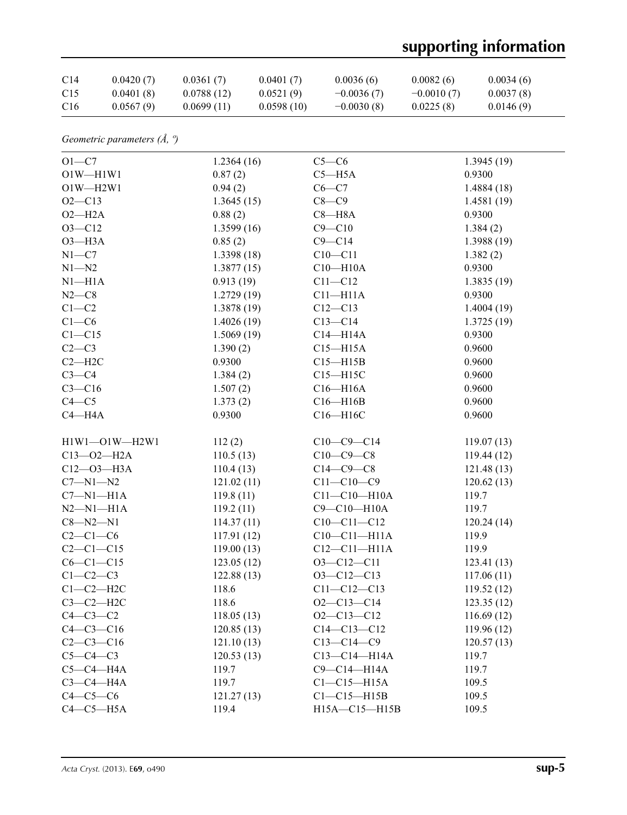# **supporting information**

| C <sub>14</sub> | 0.0420(7) | 0.0361(7)  | 0.0401(7)  | 0.0036(6)    | 0.0082(6)    | 0.0034(6) |
|-----------------|-----------|------------|------------|--------------|--------------|-----------|
| C15             | 0.0401(8) | 0.0788(12) | 0.0521(9)  | $-0.0036(7)$ | $-0.0010(7)$ | 0.0037(8) |
| C16             | 0.0567(9) | 0.0699(11) | 0.0598(10) | $-0.0030(8)$ | 0.0225(8)    | 0.0146(9) |

| Geometric parameters $(\AA, \theta)$ |  |  |  |
|--------------------------------------|--|--|--|
|--------------------------------------|--|--|--|

| $O1-C7$          | 1.2364(16) | $C5-C6$               | 1.3945(19)  |
|------------------|------------|-----------------------|-------------|
| $O1W - H1W1$     | 0.87(2)    | $C5 - H5A$            | 0.9300      |
| $O1W - H2W1$     | 0.94(2)    | $C6-C7$               | 1.4884(18)  |
| $O2 - C13$       | 1.3645(15) | $C8-C9$               | 1.4581(19)  |
| $O2-H2A$         | 0.88(2)    | $C8 - H8A$            | 0.9300      |
| $O3 - C12$       | 1.3599(16) | $C9 - C10$            | 1.384(2)    |
| $O3 - H3A$       | 0.85(2)    | $C9 - C14$            | 1.3988(19)  |
| $N1 - C7$        | 1.3398(18) | $C10 - C11$           | 1.382(2)    |
| $N1 - N2$        | 1.3877(15) | $C10 - H10A$          | 0.9300      |
| $N1 - H1A$       | 0.913(19)  | $C11 - C12$           | 1.3835(19)  |
| $N2-C8$          | 1.2729(19) | $C11 - H11A$          | 0.9300      |
| $C1-C2$          | 1.3878(19) | $C12 - C13$           | 1.4004(19)  |
| $C1-C6$          | 1.4026(19) | $C13 - C14$           | 1.3725(19)  |
| $C1 - C15$       | 1.5069(19) | $C14 - H14A$          | 0.9300      |
| $C2-C3$          | 1.390(2)   | $C15 - H15A$          | 0.9600      |
| $C2 - H2C$       | 0.9300     | $C15 - H15B$          | 0.9600      |
| $C3-C4$          | 1.384(2)   | $C15 - H15C$          | 0.9600      |
| $C3 - C16$       | 1.507(2)   | $C16 - H16A$          | 0.9600      |
| $C4 - C5$        | 1.373(2)   | $C16 - H16B$          | 0.9600      |
| $C4 - H4A$       | 0.9300     | C16-H16C              | 0.9600      |
| H1W1-O1W-H2W1    | 112(2)     | $C10-C9-C14$          | 119.07(13)  |
| $C13 - 02 - H2A$ | 110.5(13)  | $C10-C9-C8$           | 119.44(12)  |
| $C12 - O3 - H3A$ | 110.4(13)  | $C14-C9-C8$           | 121.48(13)  |
| $C7 - N1 - N2$   | 121.02(11) | $C11 - C10 - C9$      | 120.62(13)  |
| $C7 - N1 - H1A$  | 119.8(11)  | $C11 - C10 - H10A$    | 119.7       |
| $N2 - N1 - H1A$  | 119.2(11)  | C9-C10-H10A           | 119.7       |
| $C8 - N2 - N1$   | 114.37(11) | $C10-C11-C12$         | 120.24(14)  |
| $C2-C1-C6$       | 117.91(12) | $C10-C11-H11A$        | 119.9       |
| $C2-C1-C15$      | 119.00(13) | $C12 - C11 - H11A$    | 119.9       |
| $C6-C1-C15$      | 123.05(12) | $O3 - C12 - C11$      | 123.41(13)  |
| $C1-C2-C3$       | 122.88(13) | $O3 - C12 - C13$      | 117.06(11)  |
| $C1-C2-H2C$      | 118.6      | $C11 - C12 - C13$     | 119.52(12)  |
| $C3-C2-H2C$      | 118.6      | $O2 - C13 - C14$      | 123.35(12)  |
| $C4-C3-C2$       | 118.05(13) | $O2 - C13 - C12$      | 116.69(12)  |
| $C4 - C3 - C16$  | 120.85(13) | $C14 - C13 - C12$     | 119.96 (12) |
| $C2-C3-C16$      | 121.10(13) | $C13 - C14 - C9$      | 120.57(13)  |
| $C5-C4-C3$       | 120.53(13) | $C13-C14-H14A$        | 119.7       |
| $C5-C4-H4A$      | 119.7      | C9-C14-H14A           | 119.7       |
| $C3-C4-H4A$      | 119.7      | $Cl$ - $Cl$ 5-H15A    | 109.5       |
| $C4-C5-C6$       | 121.27(13) | $Cl$ - $Cl$ 5- $H15B$ | 109.5       |
| $C4-C5-H5A$      | 119.4      | H15A-C15-H15B         | 109.5       |